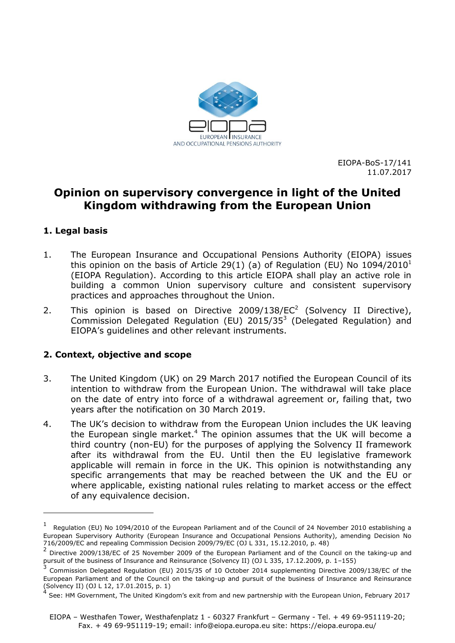

EIOPA-BoS-17/141 11.07.2017

# **Opinion on supervisory convergence in light of the United Kingdom withdrawing from the European Union**

## **1. Legal basis**

-

- 1. The European Insurance and Occupational Pensions Authority (EIOPA) issues this opinion on the basis of Article 29(1) (a) of Regulation (EU) No  $1094/2010<sup>1</sup>$ (EIOPA Regulation). According to this article EIOPA shall play an active role in building a common Union supervisory culture and consistent supervisory practices and approaches throughout the Union.
- 2. This opinion is based on Directive 2009/138/EC<sup>2</sup> (Solvency II Directive), Commission Delegated Regulation (EU)  $2015/35<sup>3</sup>$  (Delegated Regulation) and EIOPA's guidelines and other relevant instruments.

#### **2. Context, objective and scope**

- 3. The United Kingdom (UK) on 29 March 2017 notified the European Council of its intention to withdraw from the European Union. The withdrawal will take place on the date of entry into force of a withdrawal agreement or, failing that, two years after the notification on 30 March 2019.
- 4. The UK's decision to withdraw from the European Union includes the UK leaving the European single market.<sup>4</sup> The opinion assumes that the UK will become a third country (non-EU) for the purposes of applying the Solvency II framework after its withdrawal from the EU. Until then the EU legislative framework applicable will remain in force in the UK. This opinion is notwithstanding any specific arrangements that may be reached between the UK and the EU or where applicable, existing national rules relating to market access or the effect of any equivalence decision.

<sup>1</sup> Regulation (EU) No 1094/2010 of the European Parliament and of the Council of 24 November 2010 establishing a European Supervisory Authority (European Insurance and Occupational Pensions Authority), amending Decision No 716/2009/EC and repealing Commission Decision 2009/79/EC (OJ L 331, 15.12.2010, p. 48)

<sup>&</sup>lt;sup>2</sup> Directive 2009/138/EC of 25 November 2009 of the European Parliament and of the Council on the taking-up and

pursuit of the business of Insurance and Reinsurance (Solvency II) (OJ L 335, 17.12.2009, p. 1–155)<br><sup>3</sup> Commission Delegated Regulation (EU) 2015/35 of 10 October 2014 supplementing Directive 2009/138/EC of the European Parliament and of the Council on the taking-up and pursuit of the business of Insurance and Reinsurance (Solvency II) (OJ L 12, 17.01.2015, p. 1)

<sup>4</sup> See: HM Government, The United Kingdom's exit from and new partnership with the European Union, February 2017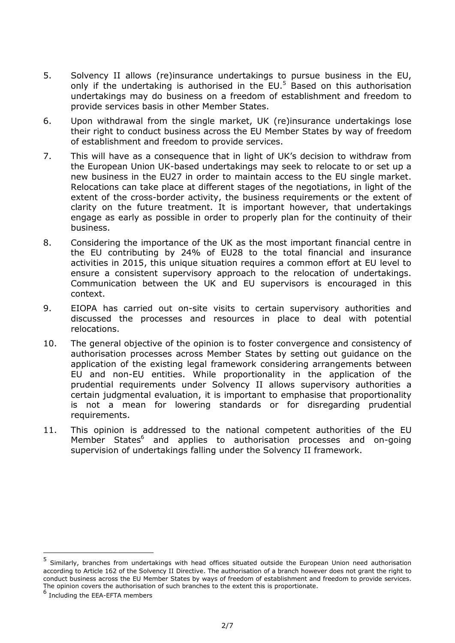- 5. Solvency II allows (re)insurance undertakings to pursue business in the EU, only if the undertaking is authorised in the  $EU$ <sup>5</sup> Based on this authorisation undertakings may do business on a freedom of establishment and freedom to provide services basis in other Member States.
- 6. Upon withdrawal from the single market, UK (re)insurance undertakings lose their right to conduct business across the EU Member States by way of freedom of establishment and freedom to provide services.
- 7. This will have as a consequence that in light of UK's decision to withdraw from the European Union UK-based undertakings may seek to relocate to or set up a new business in the EU27 in order to maintain access to the EU single market. Relocations can take place at different stages of the negotiations, in light of the extent of the cross-border activity, the business requirements or the extent of clarity on the future treatment. It is important however, that undertakings engage as early as possible in order to properly plan for the continuity of their business.
- 8. Considering the importance of the UK as the most important financial centre in the EU contributing by 24% of EU28 to the total financial and insurance activities in 2015, this unique situation requires a common effort at EU level to ensure a consistent supervisory approach to the relocation of undertakings. Communication between the UK and EU supervisors is encouraged in this context.
- 9. EIOPA has carried out on-site visits to certain supervisory authorities and discussed the processes and resources in place to deal with potential relocations.
- 10. The general objective of the opinion is to foster convergence and consistency of authorisation processes across Member States by setting out guidance on the application of the existing legal framework considering arrangements between EU and non-EU entities. While proportionality in the application of the prudential requirements under Solvency II allows supervisory authorities a certain judgmental evaluation, it is important to emphasise that proportionality is not a mean for lowering standards or for disregarding prudential requirements.
- 11. This opinion is addressed to the national competent authorities of the EU Member States<sup>6</sup> and applies to authorisation processes and on-going supervision of undertakings falling under the Solvency II framework.

<sup>5</sup> Similarly, branches from undertakings with head offices situated outside the European Union need authorisation according to Article 162 of the Solvency II Directive. The authorisation of a branch however does not grant the right to conduct business across the EU Member States by ways of freedom of establishment and freedom to provide services. The opinion covers the authorisation of such branches to the extent this is proportionate.

<sup>6</sup> Including the EEA-EFTA members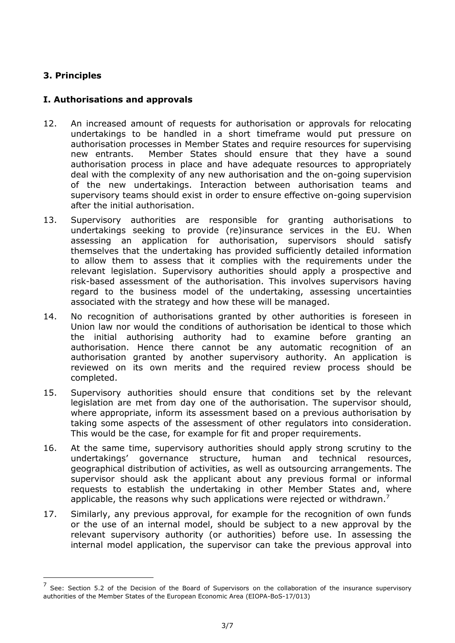## **3. Principles**

-

### **I. Authorisations and approvals**

- 12. An increased amount of requests for authorisation or approvals for relocating undertakings to be handled in a short timeframe would put pressure on authorisation processes in Member States and require resources for supervising new entrants. Member States should ensure that they have a sound authorisation process in place and have adequate resources to appropriately deal with the complexity of any new authorisation and the on-going supervision of the new undertakings. Interaction between authorisation teams and supervisory teams should exist in order to ensure effective on-going supervision after the initial authorisation.
- 13. Supervisory authorities are responsible for granting authorisations to undertakings seeking to provide (re)insurance services in the EU. When assessing an application for authorisation, supervisors should satisfy themselves that the undertaking has provided sufficiently detailed information to allow them to assess that it complies with the requirements under the relevant legislation. Supervisory authorities should apply a prospective and risk-based assessment of the authorisation. This involves supervisors having regard to the business model of the undertaking, assessing uncertainties associated with the strategy and how these will be managed.
- 14. No recognition of authorisations granted by other authorities is foreseen in Union law nor would the conditions of authorisation be identical to those which the initial authorising authority had to examine before granting an authorisation. Hence there cannot be any automatic recognition of an authorisation granted by another supervisory authority. An application is reviewed on its own merits and the required review process should be completed.
- 15. Supervisory authorities should ensure that conditions set by the relevant legislation are met from day one of the authorisation. The supervisor should, where appropriate, inform its assessment based on a previous authorisation by taking some aspects of the assessment of other regulators into consideration. This would be the case, for example for fit and proper requirements.
- 16. At the same time, supervisory authorities should apply strong scrutiny to the undertakings' governance structure, human and technical resources, geographical distribution of activities, as well as outsourcing arrangements. The supervisor should ask the applicant about any previous formal or informal requests to establish the undertaking in other Member States and, where applicable, the reasons why such applications were rejected or withdrawn.<sup>7</sup>
- 17. Similarly, any previous approval, for example for the recognition of own funds or the use of an internal model, should be subject to a new approval by the relevant supervisory authority (or authorities) before use. In assessing the internal model application, the supervisor can take the previous approval into

<sup>&</sup>lt;sup>7</sup> See: Section 5.2 of the Decision of the Board of Supervisors on the collaboration of the insurance supervisory authorities of the Member States of the European Economic Area (EIOPA-BoS-17/013)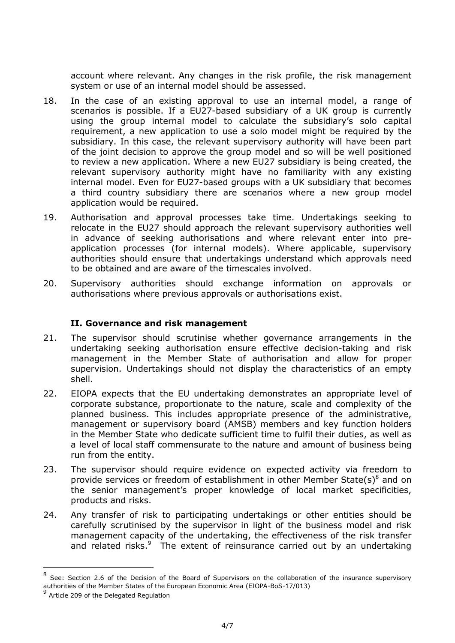account where relevant. Any changes in the risk profile, the risk management system or use of an internal model should be assessed.

- 18. In the case of an existing approval to use an internal model, a range of scenarios is possible. If a EU27-based subsidiary of a UK group is currently using the group internal model to calculate the subsidiary's solo capital requirement, a new application to use a solo model might be required by the subsidiary. In this case, the relevant supervisory authority will have been part of the joint decision to approve the group model and so will be well positioned to review a new application. Where a new EU27 subsidiary is being created, the relevant supervisory authority might have no familiarity with any existing internal model. Even for EU27-based groups with a UK subsidiary that becomes a third country subsidiary there are scenarios where a new group model application would be required.
- 19. Authorisation and approval processes take time. Undertakings seeking to relocate in the EU27 should approach the relevant supervisory authorities well in advance of seeking authorisations and where relevant enter into preapplication processes (for internal models). Where applicable, supervisory authorities should ensure that undertakings understand which approvals need to be obtained and are aware of the timescales involved.
- 20. Supervisory authorities should exchange information on approvals or authorisations where previous approvals or authorisations exist.

#### **II. Governance and risk management**

- 21. The supervisor should scrutinise whether governance arrangements in the undertaking seeking authorisation ensure effective decision-taking and risk management in the Member State of authorisation and allow for proper supervision. Undertakings should not display the characteristics of an empty shell.
- 22. EIOPA expects that the EU undertaking demonstrates an appropriate level of corporate substance, proportionate to the nature, scale and complexity of the planned business. This includes appropriate presence of the administrative, management or supervisory board (AMSB) members and key function holders in the Member State who dedicate sufficient time to fulfil their duties, as well as a level of local staff commensurate to the nature and amount of business being run from the entity.
- 23. The supervisor should require evidence on expected activity via freedom to provide services or freedom of establishment in other Member State(s) $8$  and on the senior management's proper knowledge of local market specificities, products and risks.
- 24. Any transfer of risk to participating undertakings or other entities should be carefully scrutinised by the supervisor in light of the business model and risk management capacity of the undertaking, the effectiveness of the risk transfer and related risks.<sup>9</sup> The extent of reinsurance carried out by an undertaking

<sup>&</sup>lt;sup>8</sup> See: Section 2.6 of the Decision of the Board of Supervisors on the collaboration of the insurance supervisory authorities of the Member States of the European Economic Area (EIOPA-BoS-17/013)

<sup>&</sup>lt;sup>9</sup> Article 209 of the Delegated Regulation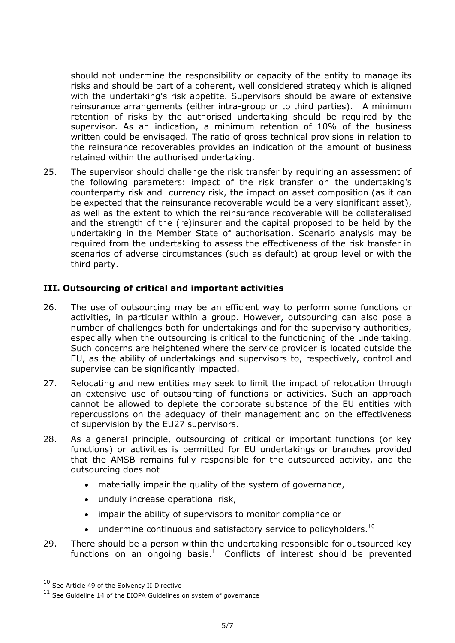should not undermine the responsibility or capacity of the entity to manage its risks and should be part of a coherent, well considered strategy which is aligned with the undertaking's risk appetite. Supervisors should be aware of extensive reinsurance arrangements (either intra-group or to third parties). A minimum retention of risks by the authorised undertaking should be required by the supervisor. As an indication, a minimum retention of 10% of the business written could be envisaged. The ratio of gross technical provisions in relation to the reinsurance recoverables provides an indication of the amount of business retained within the authorised undertaking.

25. The supervisor should challenge the risk transfer by requiring an assessment of the following parameters: impact of the risk transfer on the undertaking's counterparty risk and currency risk, the impact on asset composition (as it can be expected that the reinsurance recoverable would be a very significant asset), as well as the extent to which the reinsurance recoverable will be collateralised and the strength of the (re)insurer and the capital proposed to be held by the undertaking in the Member State of authorisation. Scenario analysis may be required from the undertaking to assess the effectiveness of the risk transfer in scenarios of adverse circumstances (such as default) at group level or with the third party.

#### **III. Outsourcing of critical and important activities**

- 26. The use of outsourcing may be an efficient way to perform some functions or activities, in particular within a group. However, outsourcing can also pose a number of challenges both for undertakings and for the supervisory authorities, especially when the outsourcing is critical to the functioning of the undertaking. Such concerns are heightened where the service provider is located outside the EU, as the ability of undertakings and supervisors to, respectively, control and supervise can be significantly impacted.
- 27. Relocating and new entities may seek to limit the impact of relocation through an extensive use of outsourcing of functions or activities. Such an approach cannot be allowed to deplete the corporate substance of the EU entities with repercussions on the adequacy of their management and on the effectiveness of supervision by the EU27 supervisors.
- 28. As a general principle, outsourcing of critical or important functions (or key functions) or activities is permitted for EU undertakings or branches provided that the AMSB remains fully responsible for the outsourced activity, and the outsourcing does not
	- materially impair the quality of the system of governance,
	- unduly increase operational risk,
	- impair the ability of supervisors to monitor compliance or
	- $\bullet$  undermine continuous and satisfactory service to policyholders.<sup>10</sup>
- 29. There should be a person within the undertaking responsible for outsourced key functions on an ongoing basis. $11$  Conflicts of interest should be prevented

<sup>10</sup> See Article 49 of the Solvency II Directive

 $11$  See Guideline 14 of the EIOPA Guidelines on system of governance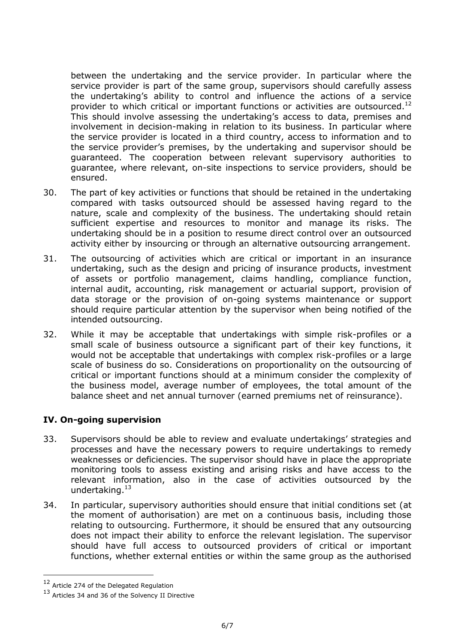between the undertaking and the service provider. In particular where the service provider is part of the same group, supervisors should carefully assess the undertaking's ability to control and influence the actions of a service provider to which critical or important functions or activities are outsourced.<sup>12</sup> This should involve assessing the undertaking's access to data, premises and involvement in decision-making in relation to its business. In particular where the service provider is located in a third country, access to information and to the service provider's premises, by the undertaking and supervisor should be guaranteed. The cooperation between relevant supervisory authorities to guarantee, where relevant, on-site inspections to service providers, should be ensured.

- 30. The part of key activities or functions that should be retained in the undertaking compared with tasks outsourced should be assessed having regard to the nature, scale and complexity of the business. The undertaking should retain sufficient expertise and resources to monitor and manage its risks. The undertaking should be in a position to resume direct control over an outsourced activity either by insourcing or through an alternative outsourcing arrangement.
- 31. The outsourcing of activities which are critical or important in an insurance undertaking, such as the design and pricing of insurance products, investment of assets or portfolio management, claims handling, compliance function, internal audit, accounting, risk management or actuarial support, provision of data storage or the provision of on-going systems maintenance or support should require particular attention by the supervisor when being notified of the intended outsourcing.
- 32. While it may be acceptable that undertakings with simple risk-profiles or a small scale of business outsource a significant part of their key functions, it would not be acceptable that undertakings with complex risk-profiles or a large scale of business do so. Considerations on proportionality on the outsourcing of critical or important functions should at a minimum consider the complexity of the business model, average number of employees, the total amount of the balance sheet and net annual turnover (earned premiums net of reinsurance).

## **IV. On-going supervision**

- 33. Supervisors should be able to review and evaluate undertakings' strategies and processes and have the necessary powers to require undertakings to remedy weaknesses or deficiencies. The supervisor should have in place the appropriate monitoring tools to assess existing and arising risks and have access to the relevant information, also in the case of activities outsourced by the undertaking. $13$
- 34. In particular, supervisory authorities should ensure that initial conditions set (at the moment of authorisation) are met on a continuous basis, including those relating to outsourcing. Furthermore, it should be ensured that any outsourcing does not impact their ability to enforce the relevant legislation. The supervisor should have full access to outsourced providers of critical or important functions, whether external entities or within the same group as the authorised

<sup>&</sup>lt;sup>12</sup> Article 274 of the Delegated Regulation

<sup>13</sup> Articles 34 and 36 of the Solvency II Directive